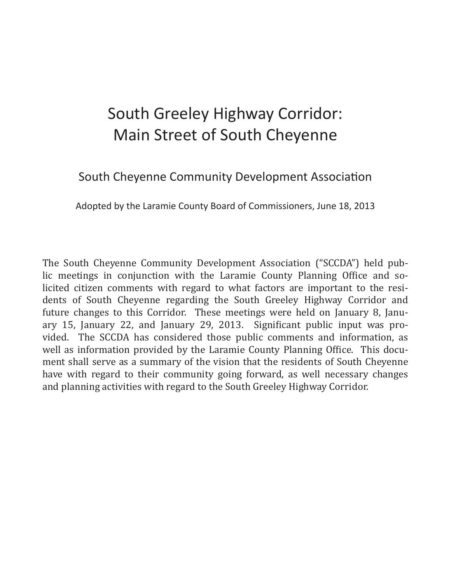# South Greeley Highway Corridor: Main Street of South Cheyenne

South Cheyenne Community Development Association

Adopted by the Laramie County Board of Commissioners, June 18, 2013

The South Cheyenne Community Development Association ("SCCDA") held public meetings in conjunction with the Laramie County Planning Office and solicited citizen comments with regard to what factors are important to the residents of South Cheyenne regarding the South Greeley Highway Corridor and future changes to this Corridor. These meetings were held on January 8, January 15, January 22, and January 29, 2013. Significant public input was provided. The SCCDA has considered those public comments and information, as well as information provided by the Laramie County Planning Office. This document shall serve as a summary of the vision that the residents of South Cheyenne have with regard to their community going forward, as well necessary changes and planning activities with regard to the South Greeley Highway Corridor.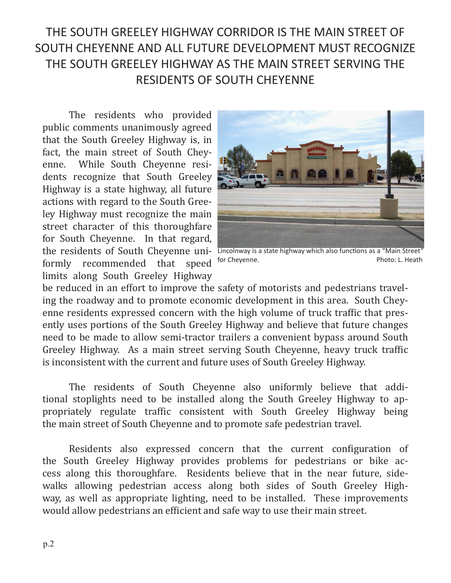## THE SOUTH GREELEY HIGHWAY CORRIDOR IS THE MAIN STREET OF SOUTH CHEYENNE AND ALL FUTURE DEVELOPMENT MUST RECOGNIZE THE SOUTH GREELEY HIGHWAY AS THE MAIN STREET SERVING THE RESIDENTS OF SOUTH CHEYENNE

The residents who provided public comments unanimously agreed that the South Greeley Highway is, in fact, the main street of South Cheyenne. While South Cheyenne residents recognize that South Greeley Highway is a state highway, all future actions with regard to the South Greeley Highway must recognize the main street character of this thoroughfare for South Cheyenne. In that regard, formly recommended that speed <sup>for Cheyenne.</sup> The example of the Photo: L. Heath limits along South Greeley Highway



the residents of South Cheyenne uni- Lincolnway is a state highway which also functions as a "Main Street"

be reduced in an effort to improve the safety of motorists and pedestrians traveling the roadway and to promote economic development in this area. South Cheyenne residents expressed concern with the high volume of truck traffic that presently uses portions of the South Greeley Highway and believe that future changes need to be made to allow semi-tractor trailers a convenient bypass around South Greeley Highway. As a main street serving South Cheyenne, heavy truck traffic is inconsistent with the current and future uses of South Greeley Highway.

The residents of South Cheyenne also uniformly believe that additional stoplights need to be installed along the South Greeley Highway to appropriately regulate traffic consistent with South Greeley Highway being the main street of South Cheyenne and to promote safe pedestrian travel.

Residents also expressed concern that the current configuration of the South Greeley Highway provides problems for pedestrians or bike access along this thoroughfare. Residents believe that in the near future, sidewalks allowing pedestrian access along both sides of South Greeley Highway, as well as appropriate lighting, need to be installed. These improvements would allow pedestrians an efficient and safe way to use their main street.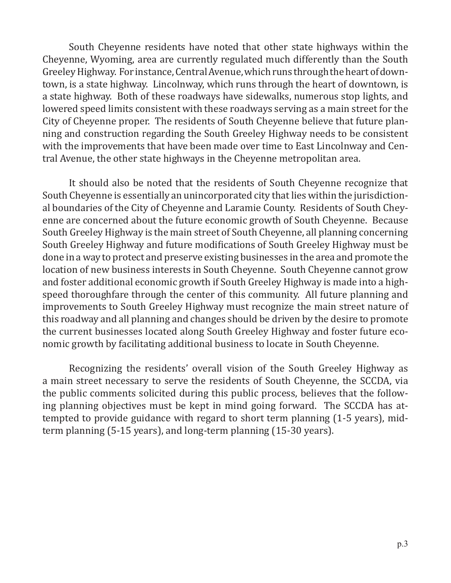South Cheyenne residents have noted that other state highways within the Cheyenne, Wyoming, area are currently regulated much differently than the South Greeley Highway. For instance, Central Avenue, which runs through the heart of downtown, is a state highway. Lincolnway, which runs through the heart of downtown, is a state highway. Both of these roadways have sidewalks, numerous stop lights, and lowered speed limits consistent with these roadways serving as a main street for the City of Cheyenne proper. The residents of South Cheyenne believe that future planning and construction regarding the South Greeley Highway needs to be consistent with the improvements that have been made over time to East Lincolnway and Central Avenue, the other state highways in the Cheyenne metropolitan area.

It should also be noted that the residents of South Cheyenne recognize that South Cheyenne is essentially an unincorporated city that lies within the jurisdictional boundaries of the City of Cheyenne and Laramie County. Residents of South Cheyenne are concerned about the future economic growth of South Cheyenne. Because South Greeley Highway is the main street of South Cheyenne, all planning concerning South Greeley Highway and future modifications of South Greeley Highway must be done in a way to protect and preserve existing businesses in the area and promote the location of new business interests in South Cheyenne. South Cheyenne cannot grow and foster additional economic growth if South Greeley Highway is made into a highspeed thoroughfare through the center of this community. All future planning and improvements to South Greeley Highway must recognize the main street nature of this roadway and all planning and changes should be driven by the desire to promote the current businesses located along South Greeley Highway and foster future economic growth by facilitating additional business to locate in South Cheyenne.

Recognizing the residents' overall vision of the South Greeley Highway as a main street necessary to serve the residents of South Cheyenne, the SCCDA, via the public comments solicited during this public process, believes that the following planning objectives must be kept in mind going forward. The SCCDA has attempted to provide guidance with regard to short term planning (1-5 years), midterm planning (5-15 years), and long-term planning (15-30 years).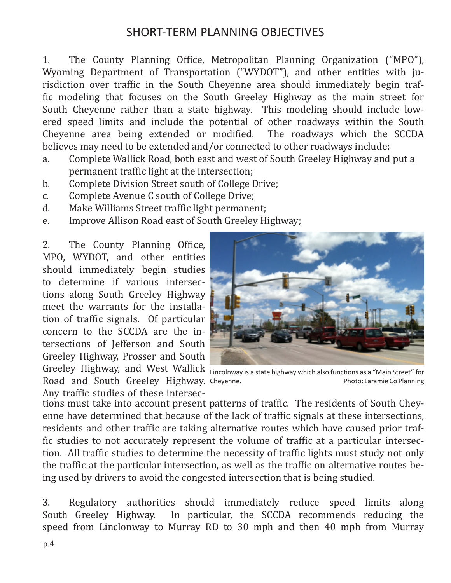#### SHORT-TERM PLANNING OBJECTIVES

1. The County Planning Office, Metropolitan Planning Organization ("MPO"), Wyoming Department of Transportation ("WYDOT"), and other entities with jurisdiction over traffic in the South Cheyenne area should immediately begin traffic modeling that focuses on the South Greeley Highway as the main street for South Cheyenne rather than a state highway. This modeling should include lowered speed limits and include the potential of other roadways within the South Cheyenne area being extended or modified. The roadways which the SCCDA believes may need to be extended and/or connected to other roadways include:

- a. Complete Wallick Road, both east and west of South Greeley Highway and put a permanent traffic light at the intersection;
- b. Complete Division Street south of College Drive;
- c. Complete Avenue C south of College Drive;<br>d. Make Williams Street traffic light permane
- Make Williams Street traffic light permanent;
- e. Improve Allison Road east of South Greeley Highway;

2. The County Planning Office, MPO, WYDOT, and other entities should immediately begin studies to determine if various intersections along South Greeley Highway meet the warrants for the installation of traffic signals. Of particular concern to the SCCDA are the intersections of Jefferson and South Greeley Highway, Prosser and South



Greeley Highway, and West Wallick <sub>Lincolnway is a state highway which also functions as a "Main Street" for</sub> Road and South Greeley Highway. Cheyenne.<br>Any traffic studies of these intersec-Photo: Laramie Co Planning

tions must take into account present patterns of traffic. The residents of South Cheyenne have determined that because of the lack of traffic signals at these intersections, residents and other traffic are taking alternative routes which have caused prior traffic studies to not accurately represent the volume of traffic at a particular intersection. All traffic studies to determine the necessity of traffic lights must study not only the traffic at the particular intersection, as well as the traffic on alternative routes being used by drivers to avoid the congested intersection that is being studied.

3. Regulatory authorities should immediately reduce speed limits along South Greeley Highway. In particular, the SCCDA recommends reducing the speed from Linclonway to Murray RD to 30 mph and then 40 mph from Murray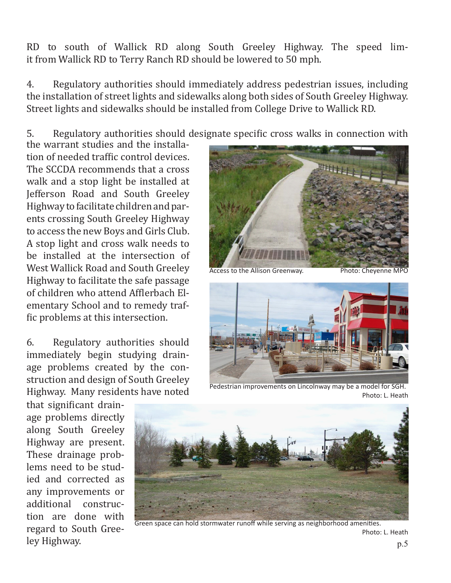RD to south of Wallick RD along South Greeley Highway. The speed limit from Wallick RD to Terry Ranch RD should be lowered to 50 mph.

4. Regulatory authorities should immediately address pedestrian issues, including the installation of street lights and sidewalks along both sides of South Greeley Highway. Street lights and sidewalks should be installed from College Drive to Wallick RD.

5. Regulatory authorities should designate specific cross walks in connection with

the warrant studies and the installation of needed traffic control devices. The SCCDA recommends that a cross walk and a stop light be installed at Jefferson Road and South Greeley Highway to facilitate children and parents crossing South Greeley Highway to access the new Boys and Girls Club. A stop light and cross walk needs to be installed at the intersection of West Wallick Road and South Greeley Highway to facilitate the safe passage of children who attend Afflerbach Elementary School and to remedy traffic problems at this intersection.

6. Regulatory authorities should immediately begin studying drainage problems created by the construction and design of South Greeley Highway. Many residents have noted

Access to the Allison Greenway. Photo: Cheyenne MPO



Pedestrian improvements on Lincolnway may be a model for SGH. Photo: L. Heath

that significant drainage problems directly along South Greeley Highway are present. These drainage problems need to be studied and corrected as any improvements or additional construction are done with regard to South Greeley Highway.



Green space can hold stormwater runoff while serving as neighborhood amenities. Photo: L. Heath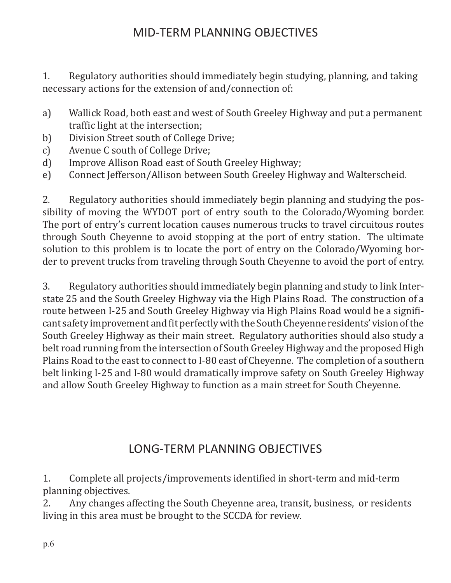#### MID-TERM PLANNING OBJECTIVES

1. Regulatory authorities should immediately begin studying, planning, and taking necessary actions for the extension of and/connection of:

- a) Wallick Road, both east and west of South Greeley Highway and put a permanent traffic light at the intersection;
- b) Division Street south of College Drive;<br>c) Avenue C south of College Drive;
- 
- c) Avenue C south of College Drive;<br>d) Improve Allison Road east of Sou Improve Allison Road east of South Greeley Highway;
- e) Connect Jefferson/Allison between South Greeley Highway and Walterscheid.

2. Regulatory authorities should immediately begin planning and studying the possibility of moving the WYDOT port of entry south to the Colorado/Wyoming border. The port of entry's current location causes numerous trucks to travel circuitous routes through South Cheyenne to avoid stopping at the port of entry station. The ultimate solution to this problem is to locate the port of entry on the Colorado/Wyoming border to prevent trucks from traveling through South Cheyenne to avoid the port of entry.

3. Regulatory authorities should immediately begin planning and study to link Interstate 25 and the South Greeley Highway via the High Plains Road. The construction of a route between I-25 and South Greeley Highway via High Plains Road would be a significant safety improvement and fit perfectly with the South Cheyenne residents' vision of the South Greeley Highway as their main street. Regulatory authorities should also study a belt road running from the intersection of South Greeley Highway and the proposed High Plains Road to the east to connect to I-80 east of Cheyenne. The completion of a southern belt linking I-25 and I-80 would dramatically improve safety on South Greeley Highway and allow South Greeley Highway to function as a main street for South Cheyenne.

#### LONG-TERM PLANNING OBJECTIVES

1. Complete all projects/improvements identified in short-term and mid-term planning objectives.<br>2. Any changes a

2. Any changes affecting the South Cheyenne area, transit, business, or residents living in this area must be brought to the SCCDA for review.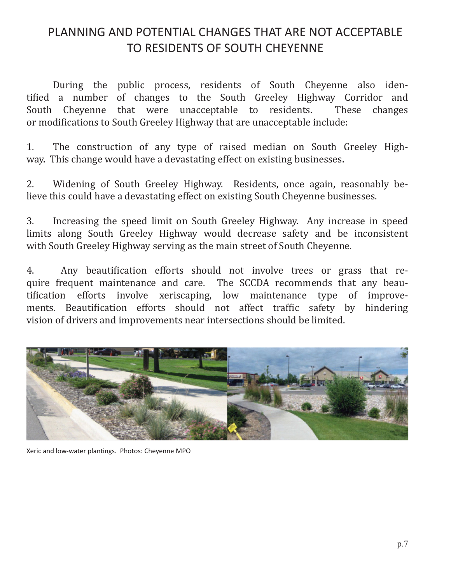### PLANNING AND POTENTIAL CHANGES THAT ARE NOT ACCEPTABLE TO RESIDENTS OF SOUTH CHEYENNE

During the public process, residents of South Cheyenne also identified a number of changes to the South Greeley Highway Corridor and South Chevenne that were unacceptable to residents. or modifications to South Greeley Highway that are unacceptable include:

1. The construction of any type of raised median on South Greeley Highway. This change would have a devastating effect on existing businesses.

2. Widening of South Greeley Highway. Residents, once again, reasonably believe this could have a devastating effect on existing South Cheyenne businesses.

3. Increasing the speed limit on South Greeley Highway. Any increase in speed limits along South Greeley Highway would decrease safety and be inconsistent with South Greeley Highway serving as the main street of South Cheyenne.

4. Any beautification efforts should not involve trees or grass that require frequent maintenance and care. The SCCDA recommends that any beautification efforts involve xeriscaping, low maintenance type of improve-<br>ments. Beautification efforts should not affect traffic safety by hindering ments. Beautification efforts should not affect traffic safety by vision of drivers and improvements near intersections should be limited.



Xeric and low-water plantings. Photos: Cheyenne MPO